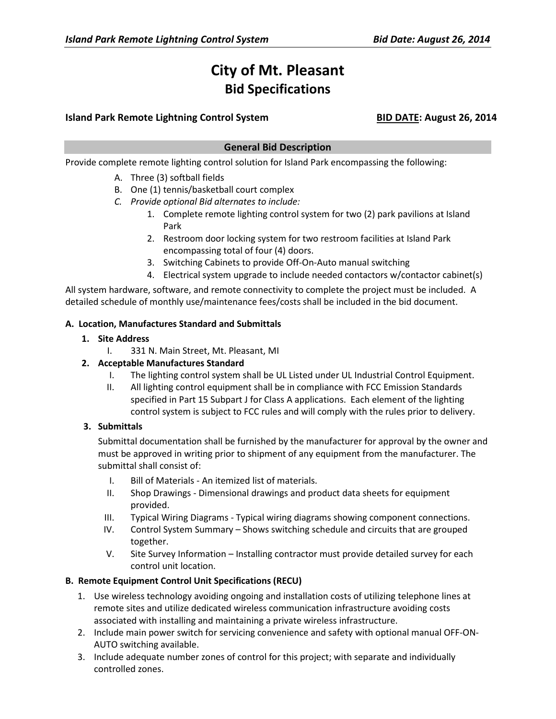# **City of Mt. Pleasant Bid Specifications**

# **Island Park Remote Lightning Control System BID DATE: August 26, 2014**

# **General Bid Description**

Provide complete remote lighting control solution for Island Park encompassing the following:

- A. Three (3) softball fields
- B. One (1) tennis/basketball court complex
- *C. Provide optional Bid alternates to include:* 
	- 1. Complete remote lighting control system for two (2) park pavilions at Island Park
	- 2. Restroom door locking system for two restroom facilities at Island Park encompassing total of four (4) doors.
	- 3. Switching Cabinets to provide Off-On-Auto manual switching
	- 4. Electrical system upgrade to include needed contactors w/contactor cabinet(s)

All system hardware, software, and remote connectivity to complete the project must be included. A detailed schedule of monthly use/maintenance fees/costs shall be included in the bid document.

## **A. Location, Manufactures Standard and Submittals**

## **1. Site Address**

I. 331 N. Main Street, Mt. Pleasant, MI

# **2. Acceptable Manufactures Standard**

- I. The lighting control system shall be UL Listed under UL Industrial Control Equipment.
- II. All lighting control equipment shall be in compliance with FCC Emission Standards specified in Part 15 Subpart J for Class A applications. Each element of the lighting control system is subject to FCC rules and will comply with the rules prior to delivery.

# **3. Submittals**

Submittal documentation shall be furnished by the manufacturer for approval by the owner and must be approved in writing prior to shipment of any equipment from the manufacturer. The submittal shall consist of:

- I. Bill of Materials An itemized list of materials.
- II. Shop Drawings Dimensional drawings and product data sheets for equipment provided.
- III. Typical Wiring Diagrams Typical wiring diagrams showing component connections.
- IV. Control System Summary Shows switching schedule and circuits that are grouped together.
- V. Site Survey Information Installing contractor must provide detailed survey for each control unit location.

## **B. Remote Equipment Control Unit Specifications (RECU)**

- 1. Use wireless technology avoiding ongoing and installation costs of utilizing telephone lines at remote sites and utilize dedicated wireless communication infrastructure avoiding costs associated with installing and maintaining a private wireless infrastructure.
- 2. Include main power switch for servicing convenience and safety with optional manual OFF-ON-AUTO switching available.
- 3. Include adequate number zones of control for this project; with separate and individually controlled zones.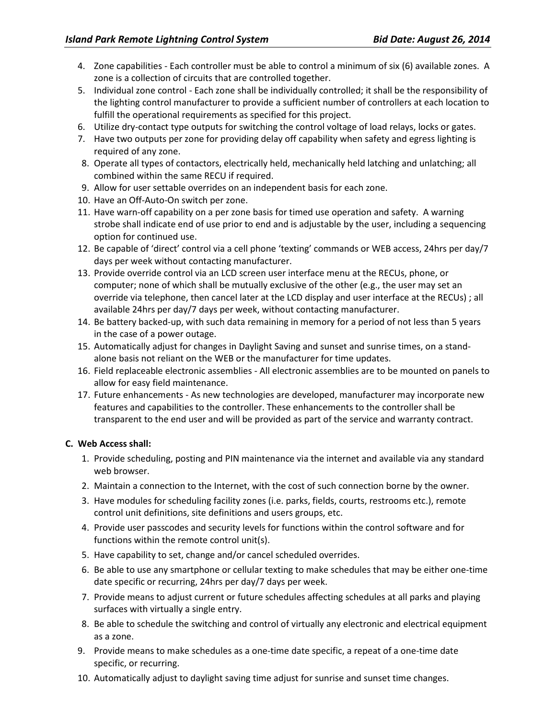- 4. Zone capabilities Each controller must be able to control a minimum of six (6) available zones. A zone is a collection of circuits that are controlled together.
- 5. Individual zone control Each zone shall be individually controlled; it shall be the responsibility of the lighting control manufacturer to provide a sufficient number of controllers at each location to fulfill the operational requirements as specified for this project.
- 6. Utilize dry-contact type outputs for switching the control voltage of load relays, locks or gates.
- 7. Have two outputs per zone for providing delay off capability when safety and egress lighting is required of any zone.
- 8. Operate all types of contactors, electrically held, mechanically held latching and unlatching; all combined within the same RECU if required.
- 9. Allow for user settable overrides on an independent basis for each zone.
- 10. Have an Off-Auto-On switch per zone.
- 11. Have warn-off capability on a per zone basis for timed use operation and safety. A warning strobe shall indicate end of use prior to end and is adjustable by the user, including a sequencing option for continued use.
- 12. Be capable of 'direct' control via a cell phone 'texting' commands or WEB access, 24hrs per day/7 days per week without contacting manufacturer.
- 13. Provide override control via an LCD screen user interface menu at the RECUs, phone, or computer; none of which shall be mutually exclusive of the other (e.g., the user may set an override via telephone, then cancel later at the LCD display and user interface at the RECUs) ; all available 24hrs per day/7 days per week, without contacting manufacturer.
- 14. Be battery backed-up, with such data remaining in memory for a period of not less than 5 years in the case of a power outage.
- 15. Automatically adjust for changes in Daylight Saving and sunset and sunrise times, on a standalone basis not reliant on the WEB or the manufacturer for time updates.
- 16. Field replaceable electronic assemblies All electronic assemblies are to be mounted on panels to allow for easy field maintenance.
- 17. Future enhancements As new technologies are developed, manufacturer may incorporate new features and capabilities to the controller. These enhancements to the controller shall be transparent to the end user and will be provided as part of the service and warranty contract.

## **C. Web Access shall:**

- 1. Provide scheduling, posting and PIN maintenance via the internet and available via any standard web browser.
- 2. Maintain a connection to the Internet, with the cost of such connection borne by the owner.
- 3. Have modules for scheduling facility zones (i.e. parks, fields, courts, restrooms etc.), remote control unit definitions, site definitions and users groups, etc.
- 4. Provide user passcodes and security levels for functions within the control software and for functions within the remote control unit(s).
- 5. Have capability to set, change and/or cancel scheduled overrides.
- 6. Be able to use any smartphone or cellular texting to make schedules that may be either one-time date specific or recurring, 24hrs per day/7 days per week.
- 7. Provide means to adjust current or future schedules affecting schedules at all parks and playing surfaces with virtually a single entry.
- 8. Be able to schedule the switching and control of virtually any electronic and electrical equipment as a zone.
- 9. Provide means to make schedules as a one-time date specific, a repeat of a one-time date specific, or recurring.
- 10. Automatically adjust to daylight saving time adjust for sunrise and sunset time changes.